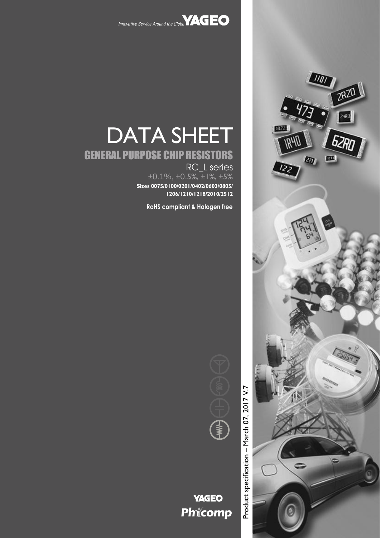



# DATA SHEET

# GENERAL PURPOSE CHIP RESISTORS

RC\_L series  $\pm 0.1\%$ ,  $\pm 0.5\%$ ,  $\pm 1\%$ ,  $\pm 5\%$ **Sizes 0075/0100/0201/0402/0603/0805/ 1206/1210/1218/2010/2512**

**RoHS compliant & Halogen free**



# **YAGEO** Phicomp

Product specification – March 07, 2017 V. Product specification - March 07, 2017 V.7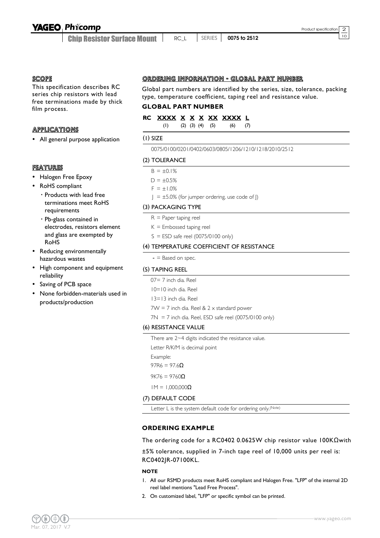### **YAGEO Phicomp**

Chip Resistor Surface Mount

<sup>10</sup> RC\_L SERIES **0075 to 2512**

#### **SCOPE**

This specification describes RC series chip resistors with lead free terminations made by thick film process.

#### **APPLICATIONS**

All general purpose application

#### FEATURES

- Halogen Free Epoxy
- RoHS compliant
	- Products with lead free terminations meet RoHS requirements
	- Pb-glass contained in electrodes, resistors element and glass are exempted by RoHS
- Reducing environmentally hazardous wastes
- High component and equipment reliability
- Saving of PCB space
- None forbidden-materials used in products/production

#### ORDERING INFORMATION - GLOBAL PART NUMBER

Global part numbers are identified by the series, size, tolerance, packing type, temperature coefficient, taping reel and resistance value.

#### **GLOBAL PART NUMBER**

#### **RC XXXX X X X XX XXXX L**

(1) (2) (3) (4) (5) (6) (7)

#### (1) SIZE

0075/0100/0201/0402/0603/0805/1206/1210/1218/2010/2512

#### (2) TOLERANCE

 $B = \pm 0.1\%$ 

 $D = \pm 0.5%$ 

 $F = \pm 1.0\%$ 

 $J = \pm 5.0\%$  (for jumper ordering, use code of J)

#### (3) PACKAGING TYPE

- $R =$  Paper taping reel
- $K =$  Embossed taping reel
- $S = ESD$  safe reel (0075/0100 only)

#### (4) TEMPERATURE COEFFICIENT OF RESISTANCE

 $-$  = Based on spec.

#### (5) TAPING REEL

- 07= 7 inch dia. Reel
- 10=10 inch dia. Reel
- 13=13 inch dia. Reel

 $7W = 7$  inch dia. Reel &  $2 \times$  standard power

 $7N = 7$  inch dia. Reel, ESD safe reel (0075/0100 only)

#### (6) RESISTANCE VALUE

There are 2~4 digits indicated the resistance value.

Letter R/K/M is decimal point

Example:

 $97R6 = 97.6$ Ω

 $9K76 = 9760$ Ω

 $1M = 1,000,000Ω$ 

#### (7) DEFAULT CODE

Letter L is the system default code for ordering only.<sup>(Note)</sup>

#### **ORDERING EXAMPLE**

The ordering code for a RC0402 0.0625W chip resistor value 100KΩwith

±5% tolerance, supplied in 7-inch tape reel of 10,000 units per reel is: RC0402JR-07100KL.

#### **NOTE**

- 1. All our RSMD products meet RoHS compliant and Halogen Free. "LFP" of the internal 2D reel label mentions "Lead Free Process".
- 2. On customized label, "LFP" or specific symbol can be printed.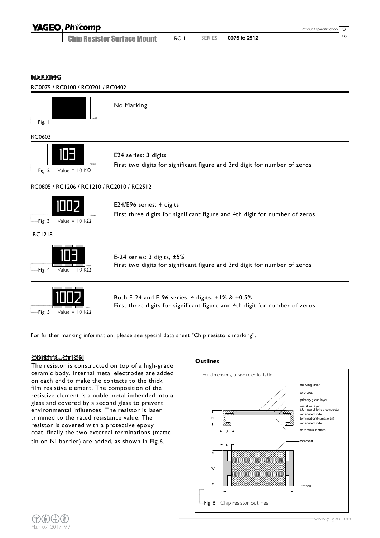| <b>YAGEO Phicomp</b> |  | Product specific |
|----------------------|--|------------------|
|                      |  |                  |

Chip Resistor Surface Mount <sup>10</sup> RC\_L SERIES **0075 to 2512**

#### MARKING



Fig. 5 Value =  $10 K\Omega$ 002 |

Both E-24 and E-96 series: 4 digits, ±1% & ±0.5% First three digits for significant figure and 4th digit for number of zeros

For further marking information, please see special data sheet "Chip resistors marking".

#### **CONSTRUCTION**

The resistor is constructed on top of a high-grade ceramic body. Internal metal electrodes are added on each end to make the contacts to the thick film resistive element. The composition of the resistive element is a noble metal imbedded into a glass and covered by a second glass to prevent environmental influences. The resistor is laser trimmed to the rated resistance value. The resistor is covered with a protective epoxy coat, finally the two external terminations (matte tin on Ni-barrier) are added, as shown in Fig.6.

#### **Outlines**

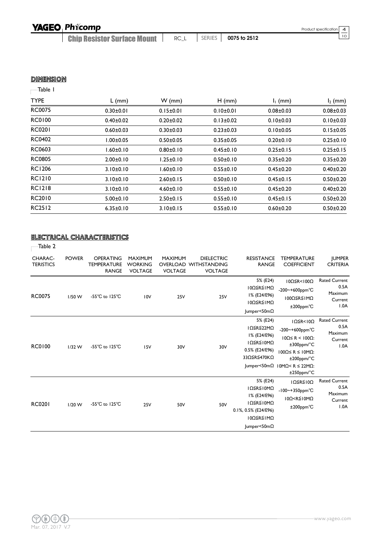# YAGEO Phicomp

Chip Resistor Surface Mount <sup>10</sup> RC\_L SERIES **0075 to 2512**

#### **DIMENSION**

### $\overline{\phantom{a}}$ Table I

| <b>TYPE</b>   | $L$ (mm)        | $W$ (mm)        | $H$ (mm)        | $I1$ (mm)       | $I_2$ (mm)      |
|---------------|-----------------|-----------------|-----------------|-----------------|-----------------|
| <b>RC0075</b> | $0.30 \pm 0.01$ | $0.15 \pm 0.01$ | $0.10 \pm 0.01$ | $0.08 + 0.03$   | $0.08 + 0.03$   |
| RC0100        | $0.40 \pm 0.02$ | $0.20 \pm 0.02$ | $0.13 \pm 0.02$ | $0.10 \pm 0.03$ | $0.10 \pm 0.03$ |
| <b>RC0201</b> | $0.60 + 0.03$   | $0.30 \pm 0.03$ | $0.23 \pm 0.03$ | $0.10 \pm 0.05$ | $0.15 \pm 0.05$ |
| <b>RC0402</b> | 1.00±0.05       | $0.50 + 0.05$   | $0.35 \pm 0.05$ | $0.20 \pm 0.10$ | $0.25 \pm 0.10$ |
| <b>RC0603</b> | $1.60 \pm 0.10$ | $0.80 + 0.10$   | $0.45 \pm 0.10$ | $0.25 \pm 0.15$ | $0.25 \pm 0.15$ |
| <b>RC0805</b> | $2.00 \pm 0.10$ | l.25±0.10       | $0.50 \pm 0.10$ | $0.35 \pm 0.20$ | $0.35 \pm 0.20$ |
| <b>RC1206</b> | $3.10 \pm 0.10$ | 1.60±0.10       | $0.55 \pm 0.10$ | $0.45 \pm 0.20$ | $0.40 \pm 0.20$ |
| <b>RC1210</b> | $3.10 \pm 0.10$ | $2.60 \pm 0.15$ | $0.50 \pm 0.10$ | $0.45 \pm 0.15$ | $0.50 + 0.20$   |
| <b>RC1218</b> | $3.10 \pm 0.10$ | $4.60 \pm 0.10$ | $0.55 \pm 0.10$ | $0.45 \pm 0.20$ | $0.40 \pm 0.20$ |
| RC2010        | $5.00 \pm 0.10$ | $2.50 \pm 0.15$ | $0.55 \pm 0.10$ | $0.45 \pm 0.15$ | $0.50 + 0.20$   |
| <b>RC2512</b> | $6.35 \pm 0.10$ | 3.10±0.15       | $0.55 \pm 0.10$ | $0.60 \pm 0.20$ | $0.50 + 0.20$   |

#### ELECTRICAL CHARACTERISTICS

Table 2

| <b>CHARAC-</b><br><b>TERISTICS</b> | <b>POWER</b> | <b>OPERATING</b><br><b>TEMPERATURE</b><br><b>RANGE</b> | <b>MAXIMUM</b><br><b>WORKING</b><br><b>VOLTAGE</b> | <b>MAXIMUM</b><br><b>VOLTAGE</b> | <b>DIELECTRIC</b><br><b>OVERLOAD WITHSTANDING</b><br><b>VOLTAGE</b> | <b>RESISTANCE</b><br><b>RANGE</b>                                                                                 | <b>TEMPERATURE</b><br><b>COEFFICIENT</b>                                                                                                                                                                               | <b>JUMPER</b><br><b>CRITERIA</b>                           |
|------------------------------------|--------------|--------------------------------------------------------|----------------------------------------------------|----------------------------------|---------------------------------------------------------------------|-------------------------------------------------------------------------------------------------------------------|------------------------------------------------------------------------------------------------------------------------------------------------------------------------------------------------------------------------|------------------------------------------------------------|
| <b>RC0075</b>                      | $1/50$ W     | -55 $^{\circ}$ C to 125 $^{\circ}$ C                   | 10V                                                | <b>25V</b>                       | <b>25V</b>                                                          | 5% (E24)<br>I0Ω≦R≦IMΩ<br>I% (E24/E96)<br>100≦R≦1MO<br>$ $ umper<50m $\Omega$                                      | $10\Omega$ $\leq$ R<100Ω<br>$-200$ ~+600ppm°C<br>100Ω≦R≦IMΩ<br>$±200$ ppm $°C$                                                                                                                                         | <b>Rated Current</b><br>0.5A<br>Maximum<br>Current<br>1.0A |
| <b>RC0100</b>                      | $1/32$ W     | -55 $^{\circ}$ C to 125 $^{\circ}$ C                   | 15V                                                | 30V                              | 30V                                                                 | 5% (E24)<br>IΩ≦R≦22MΩ<br>I% (E24/E96)<br>$10 \le R \le 10 M\Omega$<br>0.5% (E24/E96)<br>33Ω≦R≦470KΩ               | $I\Omega \leq R < I\Omega$<br>$-200$ ~+600ppm°C<br>$100 \leq R \leq 1000$ :<br>$±300$ ppm/°C<br>100Ω ≤ R ≤ 10MΩ<br>$±200$ ppm/ $°C$<br>$ $ umper<50m $\Omega$   0M $\Omega$ < R $\leq$ 22M $\Omega$ :<br>$±250$ ppm/°C | <b>Rated Current</b><br>0.5A<br>Maximum<br>Current<br>1.0A |
| <b>RC0201</b>                      | $1/20$ W     | -55 $^{\circ}$ C to 125 $^{\circ}$ C                   | <b>25V</b>                                         | 50V                              | 50V                                                                 | 5% (E24)<br>ΙΩ≦R≦Ι0ΜΩ<br>I% (E24/E96)<br>ΙΩ≦R≦Ι0ΜΩ<br>0.1%, 0.5% (E24/E96)<br>10Ω≦R≦1MΩ<br>$ $ umper<50m $\Omega$ | $I\Omega \leq R \leq I\ 0\Omega$<br>$-100$ ~+350ppm°C<br>$100 < R \le 10 MO$<br>$±200$ ppm $°C$                                                                                                                        | <b>Rated Current</b><br>0.5A<br>Maximum<br>Current<br>1.0A |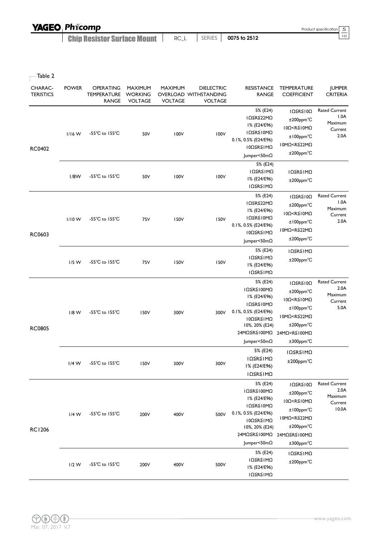| <b>YAGEO Phicomp</b>               |      |        |              | Product specification 5 |
|------------------------------------|------|--------|--------------|-------------------------|
| <b>Chip Resistor Surface Mount</b> | RC L | SERIES | 0075 to 2512 |                         |

 $\overline{\phantom{a}}$ Table 2

| CHARAC-<br><b>TERISTICS</b> | <b>POWER</b> | <b>OPERATING</b><br><b>TEMPERATURE</b><br><b>RANGE</b> | <b>MAXIMUM</b><br><b>WORKING</b><br><b>VOLTAGE</b> | <b>MAXIMUM</b><br><b>VOLTAGE</b> | <b>DIELECTRIC</b><br>OVERLOAD WITHSTANDING<br><b>VOLTAGE</b> | <b>RESISTANCE</b><br><b>RANGE</b>                                                                                                         | <b>TEMPERATURE</b><br><b>COEFFICIENT</b>                                                                                                                        | <b>JUMPER</b><br><b>CRITERIA</b>                            |
|-----------------------------|--------------|--------------------------------------------------------|----------------------------------------------------|----------------------------------|--------------------------------------------------------------|-------------------------------------------------------------------------------------------------------------------------------------------|-----------------------------------------------------------------------------------------------------------------------------------------------------------------|-------------------------------------------------------------|
| RC0402                      | $1/16$ W     | -55°C to 155°C                                         | 50V                                                | 100V                             | 100V                                                         | 5% (E24)<br>IΩ≦R≦22MΩ<br>I% (E24/E96)<br>ΙΩ≦R≦Ι0ΜΩ<br>0.1%, 0.5% (E24/E96)<br>10Ω≦R≦IMΩ<br>$ $ umper<50m $\Omega$                         | IΩ≦R≦10Ω<br>$±200$ ppm $°C$<br>$10\Omega < R \le 10 M\Omega$<br>±100ppm°C<br>10MΩ <r≦22mω<br>±200ppm°C</r≦22mω<br>                                              | <b>Rated Current</b><br>1.0A<br>Maximum<br>Current<br>2.0A  |
|                             | 1/8W         | $-55^{\circ}$ C to $155^{\circ}$ C                     | 50V                                                | 100V                             | 100V                                                         | 5% (E24)<br>ΙΩ≦R≦ΙΜΩ<br>I% (E24/E96)<br>ΙΩ≦R≦ΙΜΩ                                                                                          | ΙΩ≦R≦ΙΜΩ<br>±200ppm°C                                                                                                                                           |                                                             |
| RC0603                      | $1/10$ W     | $-55^{\circ}$ C to $155^{\circ}$ C                     | 75V                                                | <b>150V</b>                      | 150V                                                         | 5% (E24)<br>IΩ≦R≦22MΩ<br>I% (E24/E96)<br>ΙΩ≦R≦Ι0ΜΩ<br>0.1%, 0.5% (E24/E96)<br>10Ω≦R≦1MΩ<br>Jumper<50mΩ                                    | IΩ≦R≦10Ω<br>$±200$ ppm $°C$<br>10Ω <r≦10mω<br><math>±100</math>ppm<math>°C</math><br/>10MΩ<r≦22mω<br>±200ppm°C</r≦22mω<br></r≦10mω<br>                          | <b>Rated Current</b><br>1.0A<br>Maximum<br>Current<br>2.0A  |
|                             | $1/5$ W      | -55°C to 155°C                                         | 75V                                                | <b>150V</b>                      | 150V                                                         | 5% (E24)<br>ΙΩ≦R≦ΙΜΩ<br>I% (E24/E96)<br>ΙΩ≦R≦ΙΜΩ                                                                                          | ΙΩ≦R≦ΙΜΩ<br>$±200$ ppm $°C$                                                                                                                                     |                                                             |
| <b>RC0805</b>               | $1/8$ W      | $-55^{\circ}$ C to $155^{\circ}$ C                     | 150V                                               | 300V                             | 300V                                                         | 5% (E24)<br>IΩ≦R≦100MΩ<br>I% (E24/E96)<br>ΙΩ≦R≦Ι0ΜΩ<br>0.1%, 0.5% (E24/E96)<br>10Ω≦R≦IMΩ<br>10%, 20% (E24)<br>24MΩ≦R≦100MΩ<br>Jumper<50mΩ | IΩ≦R≦10Ω<br>±200ppm°C<br>$10\Omega < R \le 10 M\Omega$<br>±100ppm°C<br>10MΩ <r≦22mω<br>±200ppm°C<br/>24MΩ<r≦100mω<br>±300ppm°C</r≦100mω<br></r≦22mω<br>         | <b>Rated Current</b><br>2.0A<br>Maximum<br>Current<br>5.0A  |
|                             | $1/4$ W      | $-55^{\circ}$ C to $155^{\circ}$ C                     | 150V                                               | 300V                             | 300V                                                         | 5% (E24)<br>ΙΩ≦R≦ΙΜΩ<br>I% (E24/E96)<br>ΙΩ≦R≦ΙΜΩ                                                                                          | ΙΩ≦R≦ΙΜΩ<br>±200ppm°C                                                                                                                                           |                                                             |
| <b>RC1206</b>               | $1/4$ W      | -55°C to 155°C                                         | 200V                                               | 400V                             | 500V                                                         | 5% (E24)<br>ΙΩ≦R≦100MΩ<br>I% (E24/E96)<br>ΙΩ≦R≦Ι0ΜΩ<br>0.1%, 0.5% (E24/E96)<br>10Ω≦R≦IMΩ<br>10%, 20% (E24)<br>24MΩ≦R≦100MΩ<br>Jumper<50mΩ | IΩ≦R≦10Ω<br>±200ppm°C<br>10Ω <r≦10mω<br>±100ppm°C<br/>10MΩ<r≦22mω<br>±200ppm°C<br/>24MΩ≦R≦100MΩ<br/><math>±300</math>ppm<math>°C</math></r≦22mω<br></r≦10mω<br> | <b>Rated Current</b><br>2.0A<br>Maximum<br>Current<br>10.0A |
|                             | $1/2$ W      | $-55^{\circ}$ C to $155^{\circ}$ C                     | 200V                                               | 400V                             | 500V                                                         | 5% (E24)<br>ΙΩ≦R≦ΙΜΩ<br>I% (E24/E96)<br>ΙΩ≦R≦ΙΜΩ                                                                                          | ΙΩ≦R≦ΙΜΩ<br>$±200$ ppm $°C$                                                                                                                                     |                                                             |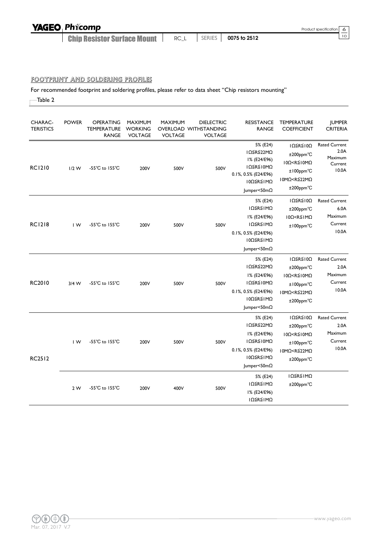| <b>YAGEO Phicomp</b> |  |
|----------------------|--|
|                      |  |

Chip Resistor Surface Mount

<sup>10</sup> RC\_L SERIES **0075 to 2512**

#### FOOTPRINT AND SOLDERING PROFILES

For recommended footprint and soldering profiles, please refer to data sheet "Chip resistors mounting"

Table 2

| CHARAC-<br><b>TERISTICS</b> | <b>POWER</b>            | OPERATING<br><b>TEMPERATURE</b><br><b>RANGE</b> | <b>MAXIMUM</b><br><b>WORKING</b><br><b>VOLTAGE</b> | <b>MAXIMUM</b><br><b>VOLTAGE</b> | <b>DIELECTRIC</b><br>OVERLOAD WITHSTANDING<br><b>VOLTAGE</b> | <b>RESISTANCE</b><br><b>RANGE</b>                                                                                             | <b>TEMPERATURE</b><br><b>COEFFICIENT</b>                                                                                                          | <b>JUMPER</b><br><b>CRITERIA</b>                            |
|-----------------------------|-------------------------|-------------------------------------------------|----------------------------------------------------|----------------------------------|--------------------------------------------------------------|-------------------------------------------------------------------------------------------------------------------------------|---------------------------------------------------------------------------------------------------------------------------------------------------|-------------------------------------------------------------|
| <b>RC1210</b>               | $1/2$ W                 | -55 $^{\circ}$ C to 155 $^{\circ}$ C            | 200V                                               | 500V                             | 500V                                                         | 5% (E24)<br>IΩ≦R≦22MΩ<br>I% (E24/E96)<br>ΙΩ≦R≦Ι0ΜΩ<br>0.1%, 0.5% (E24/E96)<br>ΙΟΩ≦R≦ΙΜΩ<br>$ $ umper<50m $\Omega$             | $I\Omega \leq R \leq I\ 0\Omega$<br>$±200$ ppm $°C$<br>$10\Omega < R \le 10 M\Omega$<br>±100ppm°C<br>I0MΩ <r≦22mω<br>±200ppm°C</r≦22mω<br>        | <b>Rated Current</b><br>2.0A<br>Maximum<br>Current<br>10.0A |
| <b>RC1218</b>               | IW                      | $-55^{\circ}$ C to $155^{\circ}$ C              | 200V                                               | 500V                             | 500V                                                         | 5% (E24)<br>ΙΩ≦R≦ΙΜΩ<br>I% (E24/E96)<br>ΙΩ≦R≦ΙΜΩ<br>0.1%, 0.5% (E24/E96)<br>10Ω≦R≦1MΩ<br>Jumper<50mΩ                          | $I\Omega \leq R \leq I\ 0\Omega$<br>$±200$ ppm $°C$<br>$10\Omega < R \leq 1 M\Omega$<br>±100ppm°C                                                 | <b>Rated Current</b><br>6.0A<br>Maximum<br>Current<br>10.0A |
| RC2010                      | $3/4$ W                 | $-55^{\circ}$ C to $155^{\circ}$ C              | 200V                                               | 500V                             | 500V                                                         | 5% (E24)<br>IΩ≦R≦22MΩ<br>I% (E24/E96)<br>ΙΩ≦R≦Ι0ΜΩ<br>0.1%, 0.5% (E24/E96)<br>10Ω≦R≦IMΩ<br>$ $ umper<50m $\Omega$             | $I\Omega \leq R \leq I\Omega$<br>$±200$ ppm $°C$<br>10Ω <r≦10mω<br>±100ppm°C<br/>I0MΩ<r≦22mω<br>±200ppm°C</r≦22mω<br></r≦10mω<br>                 | <b>Rated Current</b><br>2.0A<br>Maximum<br>Current<br>10.0A |
| <b>RC2512</b>               | $\mathsf{I} \mathsf{W}$ | -55°C to 155°C                                  | 200V                                               | 500V                             | 500V                                                         | 5% (E24)<br>IΩ≦R≦22MΩ<br>I% (E24/E96)<br>ΙΩ≦R≦Ι0ΜΩ<br>0.1%, 0.5% (E24/E96)<br>10Ω≦R≦1MΩ<br>$ $ umper<50m $\Omega$<br>5% (E24) | $I\Omega \leq R \leq I\ 0\Omega$<br>±200ppm°C<br>$10\Omega < R \le 10 M\Omega$<br>±100ppm°C<br>I0MΩ <r≦22mω<br>±200ppm°C<br/>ΙΩ≦R≦ΙΜΩ</r≦22mω<br> | <b>Rated Current</b><br>2.0A<br>Maximum<br>Current<br>10.0A |
|                             | 2W                      | -55 $^{\circ}$ C to 155 $^{\circ}$ C            | 200V                                               | 400V                             | 500V                                                         | ΙΩ≦R≦ΙΜΩ<br>I% (E24/E96)<br>ΙΩ≦R≦ΙΜΩ                                                                                          | $±200$ ppm $°C$                                                                                                                                   |                                                             |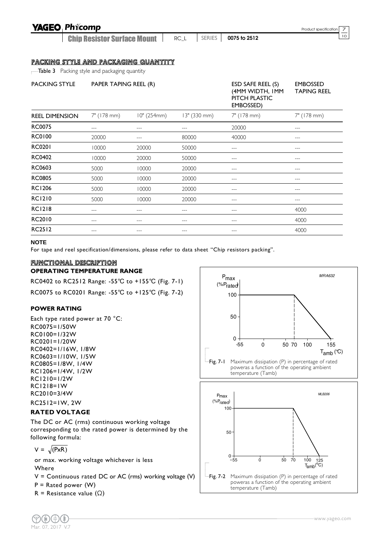### **YAGEO Phicomp**

Chip Resistor Surface Mount

<sup>10</sup> RC\_L SERIES **0075 to 2512**

Product specification  $\frac{7}{10}$ 

#### PACKING STYLE AND PACKAGING QUANTITY

**Table 3** Packing style and packaging quantity

| <b>PACKING STYLE</b>  | PAPER TAPING REEL (R) |             |              | ESD SAFE REEL (S)<br>(4MM WIDTH, IMM<br>PITCH PLASTIC<br>EMBOSSED) | <b>EMBOSSED</b><br><b>TAPING REEL</b> |
|-----------------------|-----------------------|-------------|--------------|--------------------------------------------------------------------|---------------------------------------|
| <b>REEL DIMENSION</b> | 7" (178 mm)           | 10" (254mm) | 13" (330 mm) | 7" (178 mm)                                                        | 7" (178 mm)                           |
| <b>RC0075</b>         | ---                   | ---         | ---          | 20000                                                              | ---                                   |
| <b>RC0100</b>         | 20000                 |             | 80000        | 40000                                                              | ---                                   |
| <b>RC0201</b>         | 10000                 | 20000       | 50000        | ---                                                                | ---                                   |
| RC0402                | 10000                 | 20000       | 50000        | $---$                                                              | ---                                   |
| RC0603                | 5000                  | 10000       | 20000        |                                                                    |                                       |
| <b>RC0805</b>         | 5000                  | 10000       | 20000        |                                                                    |                                       |
| <b>RC1206</b>         | 5000                  | 10000       | 20000        | ---                                                                | ---                                   |
| <b>RC1210</b>         | 5000                  | 10000       | 20000        |                                                                    |                                       |
| <b>RC1218</b>         | ---                   | ---         | ---          | ---                                                                | 4000                                  |
| RC2010                | ---                   | ---         | ---          | ---                                                                | 4000                                  |
| <b>RC2512</b>         | ---                   | $---$       | ---          | $---$                                                              | 4000                                  |

#### **NOTE**

For tape and reel specification/dimensions, please refer to data sheet "Chip resistors packing".

#### FUNCTIONAL DESCRIPTION

#### **OPERATING TEMPERATURE RANGE**

RC0402 to RC2512 Range: -55℃ to +155℃ (Fig. 7-1) RC0075 to RC0201 Range: -55℃ to +125℃ (Fig. 7-2)

#### **POWER RATING**

Each type rated power at 70 °C: RC0075=1/50W RC0100=1/32W RC0201=1/20W RC0402=1/16W, 1/8W RC0603=1/10W, 1/5W RC0805=1/8W, 1/4W RC1206=1/4W, 1/2W RC1210=1/2W RC1218=1W RC2010=3/4W RC2512=1W, 2W

#### **RATED VOLTAGE**

The DC or AC (rms) continuous working voltage corresponding to the rated power is determined by the following formula:

$$
V = \sqrt{(PxR)}
$$

or max. working voltage whichever is less Where

 $V =$  Continuous rated DC or AC (rms) working voltage (V)

 $P =$  Rated power (W)

R = Resistance value  $(\Omega)$ 

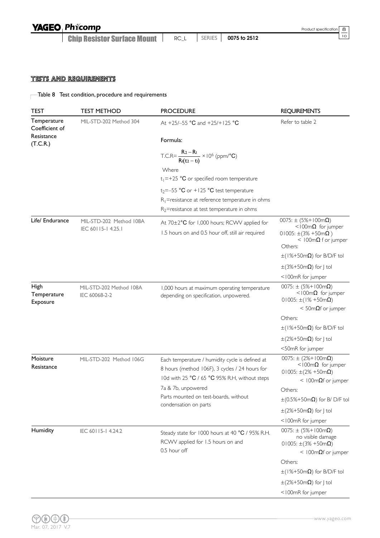Chip Resistor Surface Mount <sup>10</sup> RC\_L SERIES **0075 to 2512**

#### TESTS AND REQUIREMENTS

### Table 8 Test condition, procedure and requirements

| <b>TEST</b>                   | <b>TEST METHOD</b>      | <b>PROCEDURE</b>                                                                                  | <b>REQUIREMENTS</b>                                                                                      |
|-------------------------------|-------------------------|---------------------------------------------------------------------------------------------------|----------------------------------------------------------------------------------------------------------|
| Temperature<br>Coefficient of | MIL-STD-202 Method 304  | At +25/-55 °C and +25/+125 °C                                                                     | Refer to table 2                                                                                         |
| Resistance<br>(T.C.R.)        |                         | Formula:                                                                                          |                                                                                                          |
|                               |                         | T.C.R= $\frac{R_2 - R_1}{R_1(t_2 - t_1)} \times 10^6$ (ppm/°C)                                    |                                                                                                          |
|                               |                         | Where                                                                                             |                                                                                                          |
|                               |                         | $t_1 = +25$ °C or specified room temperature                                                      |                                                                                                          |
|                               |                         | $t_2 = -55$ °C or +125 °C test temperature                                                        |                                                                                                          |
|                               |                         | $R_1$ =resistance at reference temperature in ohms                                                |                                                                                                          |
|                               |                         | $R_2$ =resistance at test temperature in ohms                                                     |                                                                                                          |
| Life/ Endurance               | MIL-STD-202 Method 108A | At 70±2°C for 1,000 hours; RCWV applied for                                                       | $0075: \pm (5\% + 100 \text{m}\Omega)$<br><100 $m\Omega$ for jumper                                      |
|                               | IEC 60115-14.25.1       | 1.5 hours on and 0.5 hour off, still air required                                                 | 01005: $\pm$ (3% +50m $\Omega$ )                                                                         |
|                               |                         |                                                                                                   | $<$ 100m $\Omega$ f or jumper<br>Others:                                                                 |
|                               |                         |                                                                                                   | $\pm$ (1%+50m $\Omega$ ) for B/D/F tol                                                                   |
|                               |                         |                                                                                                   | $\pm$ (3%+50m $\Omega$ ) for   tol                                                                       |
|                               |                         |                                                                                                   | <100mR for jumper                                                                                        |
| High                          | MIL-STD-202 Method 108A | 1,000 hours at maximum operating temperature                                                      | $0075: \pm (5\% + 100 \text{m}\Omega)$                                                                   |
| Temperature<br>Exposure       | IEC 60068-2-2           | depending on specification, unpowered.                                                            | $<$ 100m $\Omega$ for jumper<br>$01005: \pm (1\% + 50m\Omega)$                                           |
|                               |                         |                                                                                                   | $<$ 50m $\Omega$ f or jumper                                                                             |
|                               |                         |                                                                                                   | Others:                                                                                                  |
|                               |                         |                                                                                                   | $\pm$ (1%+50m $\Omega$ ) for B/D/F tol                                                                   |
|                               |                         |                                                                                                   | $\pm$ (2%+50m $\Omega$ ) for J tol                                                                       |
|                               |                         |                                                                                                   | <50mR for jumper                                                                                         |
| Moisture<br>Resistance        | MIL-STD-202 Method 106G | Each temperature / humidity cycle is defined at<br>8 hours (method 106F), 3 cycles / 24 hours for | $0075: \pm (2\% + 100 \text{m}\Omega)$<br>$<$ 100m $\Omega$ for jumper<br>$01005: \pm (2\% + 50m\Omega)$ |
|                               |                         | 10d with 25 °C / 65 °C 95% R.H, without steps                                                     | < $100 \text{m}\Omega$ f or jumper                                                                       |
|                               |                         | 7a & 7b, unpowered<br>Parts mounted on test-boards, without                                       | Others:                                                                                                  |
|                               |                         | condensation on parts                                                                             | $\pm$ (0.5%+50m $\Omega$ ) for B/D/F tol                                                                 |
|                               |                         |                                                                                                   | $\pm$ (2%+50m $\Omega$ ) for J tol                                                                       |
|                               |                         |                                                                                                   | <100mR for jumper                                                                                        |
| Humidity                      | IEC 60115-14.24.2       | Steady state for 1000 hours at 40 °C / 95% R.H.<br>RCWV applied for 1.5 hours on and              | $0075: \pm (5\% + 100 \text{m}\Omega)$<br>no visible damage<br>01005: $\pm$ (3% +50m $\Omega$ )          |
|                               |                         | 0.5 hour off                                                                                      | < 100m $\Omega$ f or jumper                                                                              |
|                               |                         |                                                                                                   | Others:                                                                                                  |
|                               |                         |                                                                                                   | $\pm$ (1%+50m $\Omega$ ) for B/D/F tol                                                                   |
|                               |                         |                                                                                                   | $\pm$ (2%+50m $\Omega$ ) for J tol                                                                       |
|                               |                         |                                                                                                   | <100mR for jumper                                                                                        |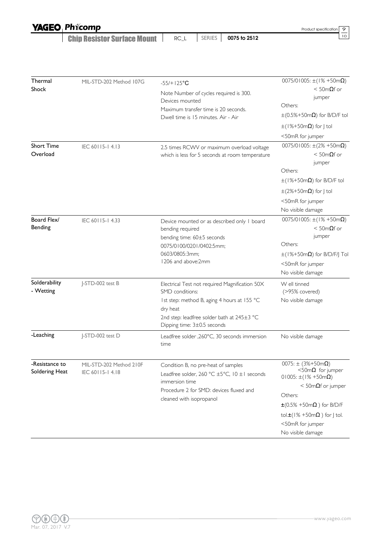| <b>YAGEO Phicomp</b> |
|----------------------|
|                      |

Chip Resistor Surface Mount **1** SERIES **0075 to 2512**  Product specification  $\frac{9}{10}$ 

| Thermal<br>Shock                 | MIL-STD-202 Method 107G                    | $-55/+125°C$<br>Note Number of cycles required is 300.<br>Devices mounted<br>Maximum transfer time is 20 seconds.<br>Dwell time is 15 minutes. Air - Air                                                  | $0075/01005$ : ±(1% +50m $\Omega$ )<br>$<$ 50m $\Omega$ f or<br>jumper<br>Others:<br>$\pm (0.5\% + 50 \text{m}\Omega)$ for B/D/F tol<br>$\pm$ (1%+50m $\Omega$ ) for J tol<br><50mR for jumper                                                                            |
|----------------------------------|--------------------------------------------|-----------------------------------------------------------------------------------------------------------------------------------------------------------------------------------------------------------|---------------------------------------------------------------------------------------------------------------------------------------------------------------------------------------------------------------------------------------------------------------------------|
| <b>Short Time</b><br>Overload    | IEC 60115-14.13                            | 2.5 times RCWV or maximum overload voltage<br>which is less for 5 seconds at room temperature                                                                                                             | 0075/01005: $\pm(2\% + 50m\Omega)$<br>$<$ 50m $\Omega$ f or<br>jumper<br>Others:<br>$\pm$ (1%+50m $\Omega$ ) for B/D/F tol<br>$\pm$ (2%+50m $\Omega$ ) for J tol<br><50mR for jumper<br>No visible damage                                                                 |
| Board Flex/<br>Bending           | IEC 60115-14.33                            | Device mounted or as described only I board<br>bending required<br>bending time: 60±5 seconds<br>0075/0100/0201/0402:5mm;<br>0603/0805:3mm;<br>1206 and above:2mm                                         | 0075/01005: $\pm(1\% + 50m\Omega)$<br>$<$ 50m $\Omega$ f or<br>jumper<br>Others:<br>$\pm$ (1%+50m $\Omega$ ) for B/D/F/J Tol<br><50mR for jumper<br>No visible damage                                                                                                     |
| Solderability<br>- Wetting       | J-STD-002 test B                           | Electrical Test not required Magnification 50X<br>SMD conditions:<br>Ist step: method B, aging 4 hours at 155 °C<br>dry heat<br>2nd step: leadfree solder bath at 245±3 °C<br>Dipping time: 3±0.5 seconds | W ell tinned<br>(>95% covered)<br>No visible damage                                                                                                                                                                                                                       |
| -Leaching                        | J-STD-002 test D                           | Leadfree solder , 260°C, 30 seconds immersion<br>time                                                                                                                                                     | No visible damage                                                                                                                                                                                                                                                         |
| -Resistance to<br>Soldering Heat | MIL-STD-202 Method 210F<br>IEC 60115-14.18 | Condition B, no pre-heat of samples<br>Leadfree solder, 260 °C ±5°C, 10 ±1 seconds<br>immersion time<br>Procedure 2 for SMD: devices fluxed and<br>cleaned with isopropanol                               | 0075: $\pm$ (3%+50m $\Omega$ )<br>$<$ 50m $\Omega$ for jumper<br>$01005: \pm (1\% + 50m\Omega)$<br>$<$ 50m $\Omega$ f or jumper<br>Others:<br>$\pm$ (0.5% +50m $\Omega$ ) for B/D/F<br>tol. $\pm$ (1% +50m $\Omega$ ) for J tol.<br><50mR for jumper<br>No visible damage |